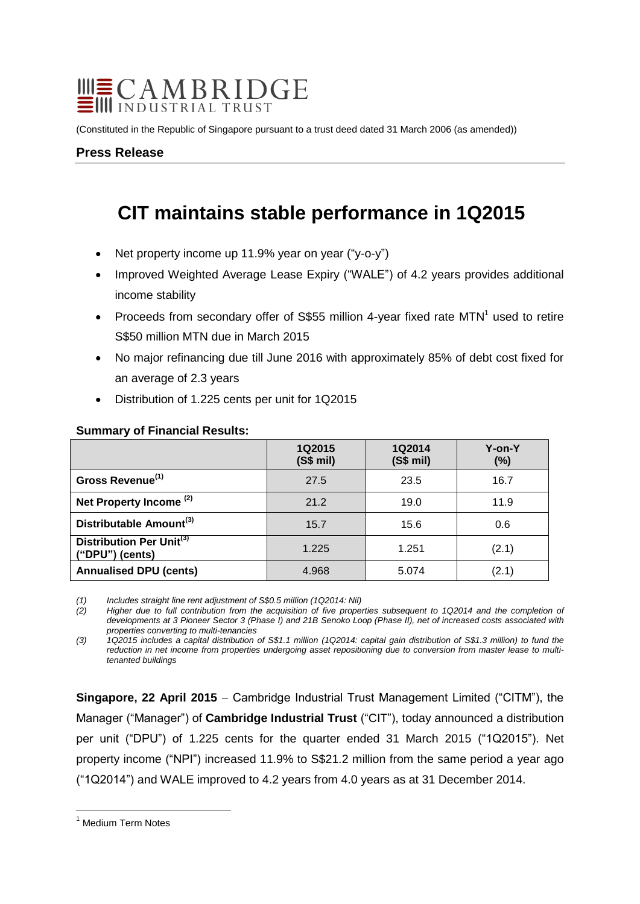# **WECAMBRIDGE**

(Constituted in the Republic of Singapore pursuant to a trust deed dated 31 March 2006 (as amended))

## **Press Release**

## **CIT maintains stable performance in 1Q2015**

- Net property income up 11.9% year on year ("y-o-y")
- Improved Weighted Average Lease Expiry ("WALE") of 4.2 years provides additional income stability
- Proceeds from secondary offer of S\$55 million 4-year fixed rate  $MTN<sup>1</sup>$  used to retire S\$50 million MTN due in March 2015
- No major refinancing due till June 2016 with approximately 85% of debt cost fixed for an average of 2.3 years
- Distribution of 1.225 cents per unit for 1Q2015

|                                                         | 1Q2015<br>(S\$ mi) | 1Q2014<br>(S\$ mi) | Y-on-Y<br>$(\%)$ |
|---------------------------------------------------------|--------------------|--------------------|------------------|
| Gross Revenue <sup>(1)</sup>                            | 27.5               | 23.5               | 16.7             |
| Net Property Income <sup>(2)</sup>                      | 21.2               | 19.0               | 11.9             |
| Distributable Amount <sup>(3)</sup>                     | 15.7               | 15.6               | 0.6              |
| Distribution Per Unit <sup>(3)</sup><br>("DPU") (cents) | 1.225              | 1.251              | (2.1)            |
| <b>Annualised DPU (cents)</b>                           | 4.968              | 5.074              | (2.1)            |

### **Summary of Financial Results:**

*(1) Includes straight line rent adjustment of S\$0.5 million (1Q2014: Nil)*

*(2) Higher due to full contribution from the acquisition of five properties subsequent to 1Q2014 and the completion of* developments at 3 Pioneer Sector 3 (Phase I) and 21B Senoko Loop (Phase II), net of increased costs associated with *properties converting to multi-tenancies*

*(3) 1Q2015 includes a capital distribution of S\$1.1 million (1Q2014: capital gain distribution of S\$1.3 million) to fund the reduction in net income from properties undergoing asset repositioning due to conversion from master lease to multitenanted buildings*

**Singapore, 22 April 2015** – Cambridge Industrial Trust Management Limited ("CITM"), the Manager ("Manager") of **Cambridge Industrial Trust** ("CIT"), today announced a distribution per unit ("DPU") of 1.225 cents for the quarter ended 31 March 2015 ("1Q2015"). Net property income ("NPI") increased 11.9% to S\$21.2 million from the same period a year ago ("1Q2014") and WALE improved to 4.2 years from 4.0 years as at 31 December 2014.

 $\overline{a}$ <sup>1</sup> Medium Term Notes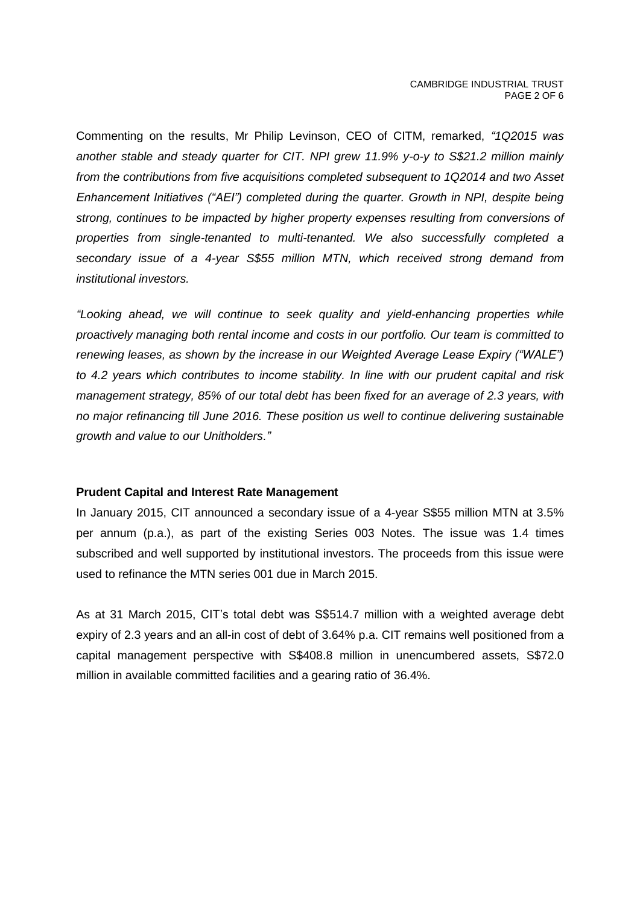Commenting on the results, Mr Philip Levinson, CEO of CITM, remarked, *"1Q2015 was another stable and steady quarter for CIT. NPI grew 11.9% y-o-y to S\$21.2 million mainly from the contributions from five acquisitions completed subsequent to 1Q2014 and two Asset Enhancement Initiatives ("AEI") completed during the quarter. Growth in NPI, despite being strong, continues to be impacted by higher property expenses resulting from conversions of properties from single-tenanted to multi-tenanted. We also successfully completed a secondary issue of a 4-year S\$55 million MTN, which received strong demand from institutional investors.*

*"Looking ahead, we will continue to seek quality and yield-enhancing properties while proactively managing both rental income and costs in our portfolio. Our team is committed to renewing leases, as shown by the increase in our Weighted Average Lease Expiry ("WALE") to 4.2 years which contributes to income stability. In line with our prudent capital and risk management strategy, 85% of our total debt has been fixed for an average of 2.3 years, with no major refinancing till June 2016. These position us well to continue delivering sustainable growth and value to our Unitholders."*

### **Prudent Capital and Interest Rate Management**

In January 2015, CIT announced a secondary issue of a 4-year S\$55 million MTN at 3.5% per annum (p.a.), as part of the existing Series 003 Notes. The issue was 1.4 times subscribed and well supported by institutional investors. The proceeds from this issue were used to refinance the MTN series 001 due in March 2015.

As at 31 March 2015, CIT's total debt was S\$514.7 million with a weighted average debt expiry of 2.3 years and an all-in cost of debt of 3.64% p.a. CIT remains well positioned from a capital management perspective with S\$408.8 million in unencumbered assets, S\$72.0 million in available committed facilities and a gearing ratio of 36.4%.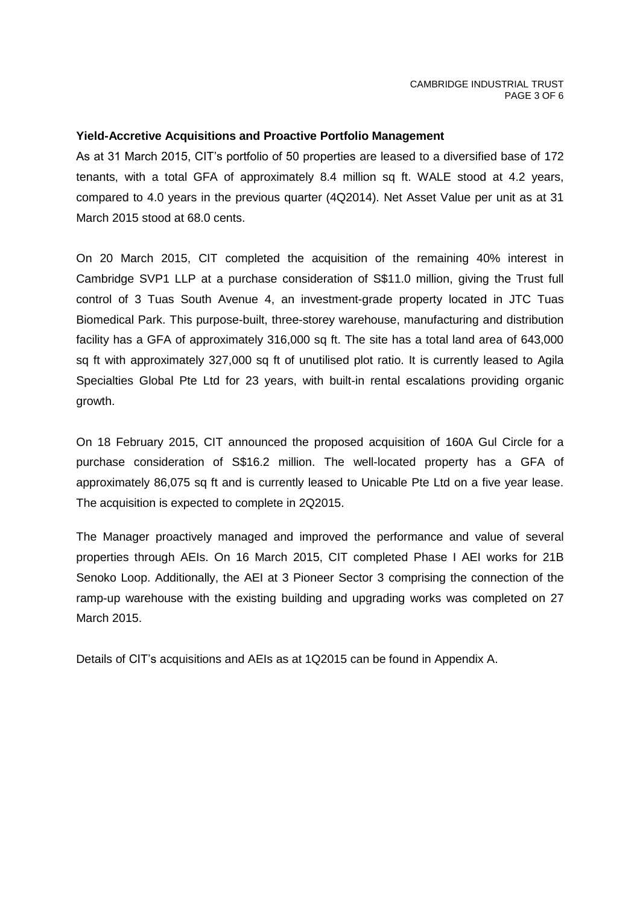## **Yield-Accretive Acquisitions and Proactive Portfolio Management**

As at 31 March 2015, CIT's portfolio of 50 properties are leased to a diversified base of 172 tenants, with a total GFA of approximately 8.4 million sq ft. WALE stood at 4.2 years, compared to 4.0 years in the previous quarter (4Q2014). Net Asset Value per unit as at 31 March 2015 stood at 68.0 cents.

On 20 March 2015, CIT completed the acquisition of the remaining 40% interest in Cambridge SVP1 LLP at a purchase consideration of S\$11.0 million, giving the Trust full control of 3 Tuas South Avenue 4, an investment-grade property located in JTC Tuas Biomedical Park. This purpose-built, three-storey warehouse, manufacturing and distribution facility has a GFA of approximately 316,000 sq ft. The site has a total land area of 643,000 sq ft with approximately 327,000 sq ft of unutilised plot ratio. It is currently leased to Agila Specialties Global Pte Ltd for 23 years, with built-in rental escalations providing organic growth.

On 18 February 2015, CIT announced the proposed acquisition of 160A Gul Circle for a purchase consideration of S\$16.2 million. The well-located property has a GFA of approximately 86,075 sq ft and is currently leased to Unicable Pte Ltd on a five year lease. The acquisition is expected to complete in 2Q2015.

The Manager proactively managed and improved the performance and value of several properties through AEIs. On 16 March 2015, CIT completed Phase I AEI works for 21B Senoko Loop. Additionally, the AEI at 3 Pioneer Sector 3 comprising the connection of the ramp-up warehouse with the existing building and upgrading works was completed on 27 March 2015.

Details of CIT's acquisitions and AEIs as at 1Q2015 can be found in Appendix A.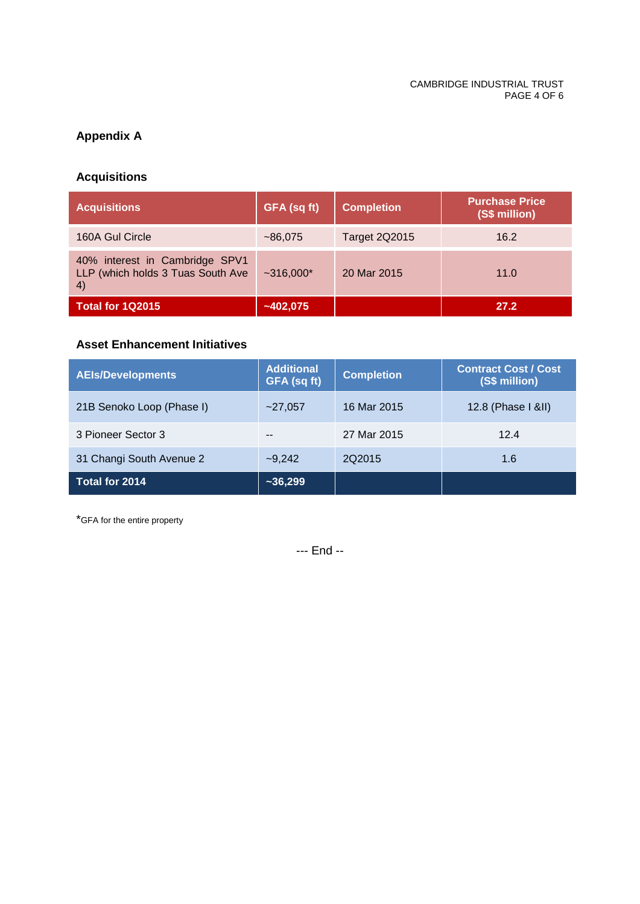## **Appendix A**

## **Acquisitions**

| <b>Acquisitions</b>                                                       | GFA (sq ft) | <b>Completion</b>    | <b>Purchase Price</b><br>(S\$ million) |
|---------------------------------------------------------------------------|-------------|----------------------|----------------------------------------|
| 160A Gul Circle                                                           | ~186,075    | <b>Target 2Q2015</b> | 16.2                                   |
| 40% interest in Cambridge SPV1<br>LLP (which holds 3 Tuas South Ave<br>4) | $~1000*$    | 20 Mar 2015          | 11.0                                   |
| <b>Total for 1Q2015</b>                                                   | $-402,075$  |                      | 27.2                                   |

## **Asset Enhancement Initiatives**

| <b>AEIs/Developments</b>  | <b>Additional</b><br>GFA (sq ft) | <b>Completion</b> | <b>Contract Cost / Cost</b><br>(S\$ million) |
|---------------------------|----------------------------------|-------------------|----------------------------------------------|
| 21B Senoko Loop (Phase I) | ~27,057                          | 16 Mar 2015       | 12.8 (Phase I &II)                           |
| 3 Pioneer Sector 3        | --                               | 27 Mar 2015       | 12.4                                         |
| 31 Changi South Avenue 2  | $-9,242$                         | 202015            | 1.6                                          |
| Total for 2014            | $-36,299$                        |                   |                                              |

\*GFA for the entire property

--- End --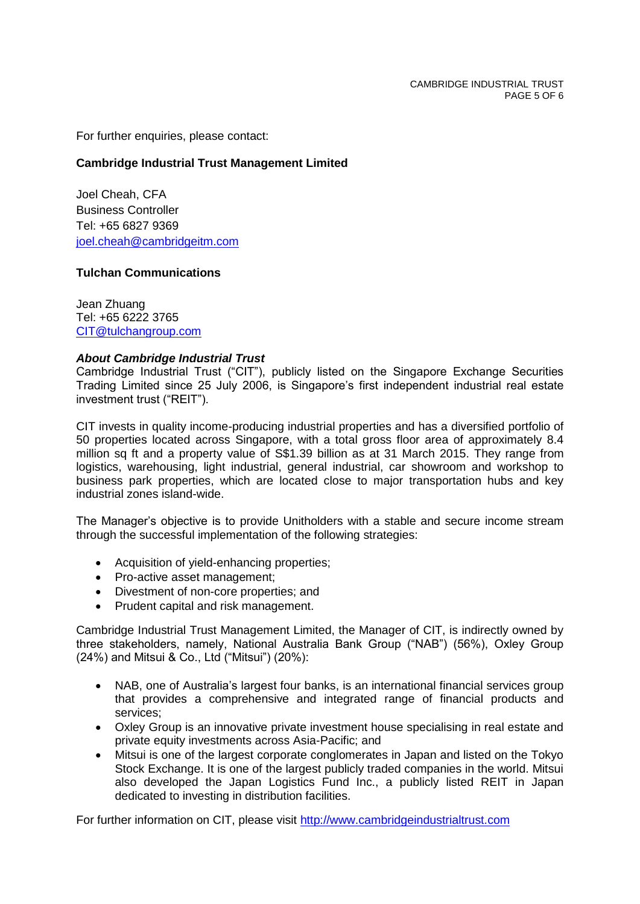For further enquiries, please contact:

## **Cambridge Industrial Trust Management Limited**

Joel Cheah, CFA Business Controller Tel: +65 6827 9369 [joel.cheah@cambridgeitm.com](mailto:joel.cheah@cambridgeitm.com) 

## **Tulchan Communications**

Jean Zhuang Tel: +65 6222 3765 [CIT@tulchangroup.com](mailto:CIT@tulchangroup.com)

## *About Cambridge Industrial Trust*

Cambridge Industrial Trust ("CIT"), publicly listed on the Singapore Exchange Securities Trading Limited since 25 July 2006, is Singapore's first independent industrial real estate investment trust ("REIT").

CIT invests in quality income-producing industrial properties and has a diversified portfolio of 50 properties located across Singapore, with a total gross floor area of approximately 8.4 million sq ft and a property value of S\$1.39 billion as at 31 March 2015. They range from logistics, warehousing, light industrial, general industrial, car showroom and workshop to business park properties, which are located close to major transportation hubs and key industrial zones island-wide.

The Manager's objective is to provide Unitholders with a stable and secure income stream through the successful implementation of the following strategies:

- Acquisition of yield-enhancing properties;
- Pro-active asset management;
- Divestment of non-core properties; and
- Prudent capital and risk management.

Cambridge Industrial Trust Management Limited, the Manager of CIT, is indirectly owned by three stakeholders, namely, National Australia Bank Group ("NAB") (56%), Oxley Group (24%) and Mitsui & Co., Ltd ("Mitsui") (20%):

- NAB, one of Australia's largest four banks, is an international financial services group that provides a comprehensive and integrated range of financial products and services;
- Oxley Group is an innovative private investment house specialising in real estate and private equity investments across Asia-Pacific; and
- Mitsui is one of the largest corporate conglomerates in Japan and listed on the Tokyo Stock Exchange. It is one of the largest publicly traded companies in the world. Mitsui also developed the Japan Logistics Fund Inc., a publicly listed REIT in Japan dedicated to investing in distribution facilities.

For further information on CIT, please visit [http://www.cambridgeindustrialtrust.com](http://www.cambridgeindustrialtrust.com/)